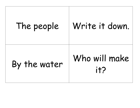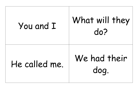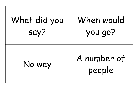| What did you | When would            |
|--------------|-----------------------|
| say?         | you go?               |
| No way       | A number of<br>people |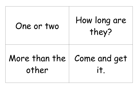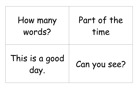| How many               | Part of the  |
|------------------------|--------------|
| words?                 | time         |
| This is a good<br>day. | Can you see? |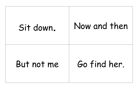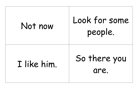# Not now | Look for some<br>people. I like him. So there you are.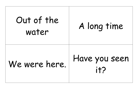| Out of the<br>water | A long time          |
|---------------------|----------------------|
| We were here.       | Have you seen<br>it? |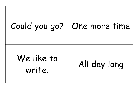# Could you go? | One more time We like to write. All day long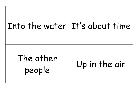### Into the water It's about time

## The other people Up in the air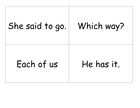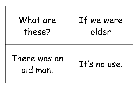| What are                 | If we were   |
|--------------------------|--------------|
| these?                   | older        |
| There was an<br>old man. | It's no use. |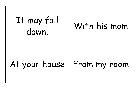| It may fall<br>down. | With his mom                 |
|----------------------|------------------------------|
|                      | At your house   From my room |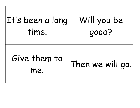| $ {\bf I} {\sf t}' {\sf s}$ been a long | Will you be      |
|-----------------------------------------|------------------|
| time.                                   | good?            |
| Give them to<br>me.                     | Then we will go. |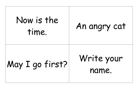| Now is the<br>time. | An angry cat        |
|---------------------|---------------------|
| May I go first?     | Write your<br>name. |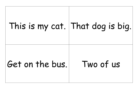## This is my cat. That dog is big.

### Get on the bus. Two of us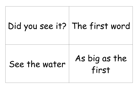### Did you see it? The first word

## See the water As big as the<br>first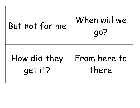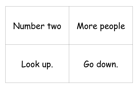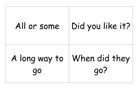